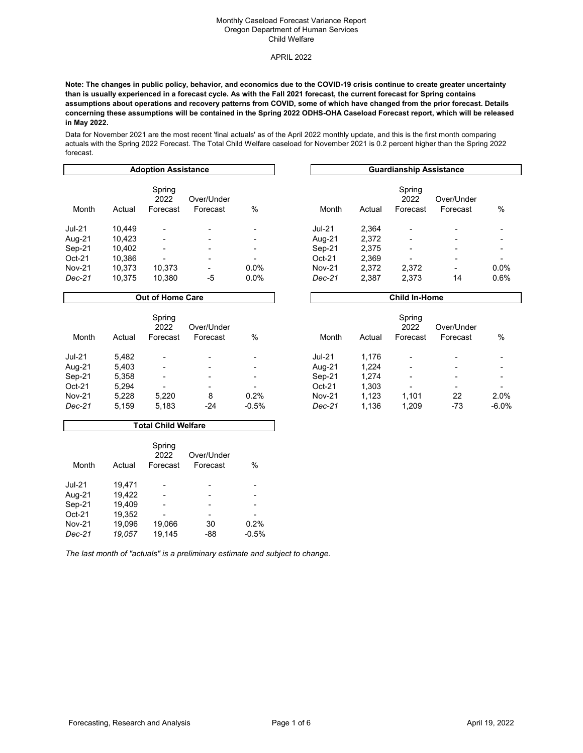### APRIL 2022

**Note: The changes in public policy, behavior, and economics due to the COVID-19 crisis continue to create greater uncertainty than is usually experienced in a forecast cycle. As with the Fall 2021 forecast, the current forecast for Spring contains assumptions about operations and recovery patterns from COVID, some of which have changed from the prior forecast. Details concerning these assumptions will be contained in the Spring 2022 ODHS-OHA Caseload Forecast report, which will be released in May 2022.**

Data for November 2021 are the most recent 'final actuals' as of the April 2022 monthly update, and this is the first month comparing actuals with the Spring 2022 Forecast. The Total Child Welfare caseload for November 2021 is 0.2 percent higher than the Spring 2022 forecast.

| <b>Adoption Assistance</b> |        |                            |                                                                                                                                                   |         | <b>Guardianship Assistance</b> |        |                            |                          |      |  |
|----------------------------|--------|----------------------------|---------------------------------------------------------------------------------------------------------------------------------------------------|---------|--------------------------------|--------|----------------------------|--------------------------|------|--|
| Month                      | Actual | Spring<br>2022<br>Forecast | Over/Under<br>Forecast                                                                                                                            | %       | Month                          | Actual | Spring<br>2022<br>Forecast | Over/Under<br>Forecast   | $\%$ |  |
| <b>Jul-21</b>              | 10.449 | -                          | ٠                                                                                                                                                 |         | $Jul-21$                       | 2,364  | -                          |                          |      |  |
| Aug-21                     | 10.423 | ٠                          | ۰                                                                                                                                                 | -       | Aug-21                         | 2,372  |                            |                          | ۰    |  |
| $Sep-21$                   | 10,402 | ٠                          | ٠                                                                                                                                                 | -       | Sep-21                         | 2,375  | ۰                          |                          | ۰    |  |
| Oct-21                     | 10,386 |                            | ٠                                                                                                                                                 |         | $Oct-21$                       | 2,369  |                            |                          | ٠    |  |
| <b>Nov-21</b>              | 10.373 | 10,373                     | $\hskip1.6pt\hskip1.6pt\hskip1.6pt\hskip1.6pt\hskip1.6pt\hskip1.6pt\hskip1.6pt\hskip1.6pt\hskip1.6pt\hskip1.6pt\hskip1.6pt\hskip1.6pt\hskip1.6pt$ | $0.0\%$ | <b>Nov-21</b>                  | 2,372  | 2,372                      | $\overline{\phantom{a}}$ | 0.0% |  |
| $Dec-21$                   | 10.375 | 10.380                     | -5                                                                                                                                                | $0.0\%$ | Dec-21                         | 2,387  | 2,373                      | 14                       | 0.6% |  |

| Month         | Actual | Spring<br>2022<br>Forecast | Over/Under<br>Forecast | %       |
|---------------|--------|----------------------------|------------------------|---------|
| <b>Jul-21</b> | 2.364  |                            |                        |         |
| Aug-21        | 2.372  |                            |                        |         |
| Sep-21        | 2,375  |                            |                        |         |
| $Oct-21$      | 2,369  |                            |                        |         |
| <b>Nov-21</b> | 2,372  | 2,372                      |                        | $0.0\%$ |
| Dec-21        | 2,387  | 2,373                      | 14                     | 0.6%    |
|               |        |                            |                        |         |

**Child In-Home**

## **Out of Home Care**

| Month         | Actual | Spring<br>2022<br>Forecast | Over/Under<br>Forecast | %                        | Month         | Actual | Spring<br>2022<br>Forecast | Over/Under<br>Forecast | %       |
|---------------|--------|----------------------------|------------------------|--------------------------|---------------|--------|----------------------------|------------------------|---------|
| <b>Jul-21</b> | 5.482  | $\overline{\phantom{a}}$   |                        |                          | $Jul-21$      | 1,176  |                            | -                      |         |
| Aug-21        | 5,403  | ٠                          | ۰                      | -                        | Aug-21        | 1,224  | -                          | -                      |         |
| Sep-21        | 5,358  | $\overline{\phantom{a}}$   | -                      |                          | Sep-21        | 1,274  |                            | -                      |         |
| $Oct-21$      | 5,294  | $\overline{\phantom{0}}$   | ٠                      | $\overline{\phantom{0}}$ | $Oct-21$      | 1,303  |                            | -                      |         |
| <b>Nov-21</b> | 5.228  | 5.220                      | 8                      | 0.2%                     | <b>Nov-21</b> | 1.123  | 1.101                      | 22                     | 2.0%    |
| $Dec-21$      | 5,159  | 5,183                      | -24                    | $-0.5%$                  | Dec-21        | 1,136  | 1,209                      | -73                    | $-6.0%$ |

#### **Total Child Welfare**

| Month         | Actual | Spring<br>2022<br>Forecast | Over/Under<br>Forecast | $\%$    |
|---------------|--------|----------------------------|------------------------|---------|
| <b>Jul-21</b> | 19,471 |                            |                        |         |
| Aug-21        | 19.422 |                            |                        |         |
| Sep-21        | 19.409 |                            |                        |         |
| $Oct-21$      | 19,352 |                            |                        |         |
| Nov-21        | 19.096 | 19.066                     | 30                     | 0.2%    |
| Dec-21        | 19.057 | 19.145                     | -88                    | $-0.5%$ |

*The last month of "actuals" is a preliminary estimate and subject to change.*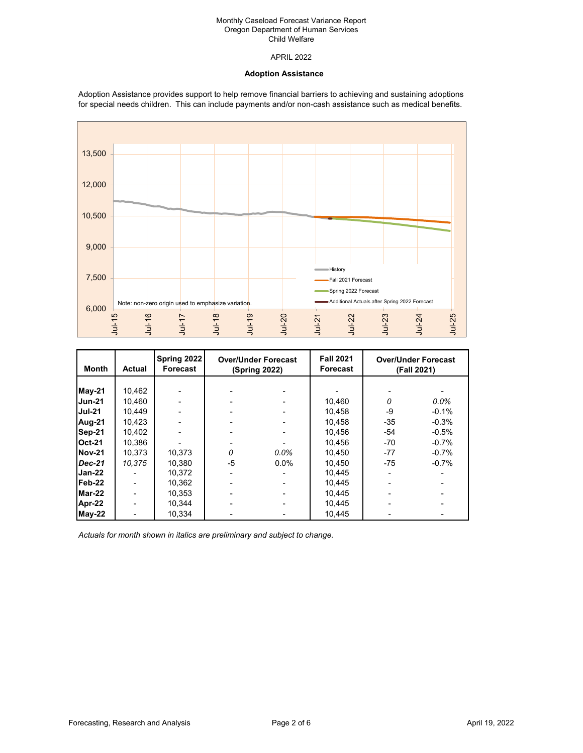# APRIL 2022

## **Adoption Assistance**

Adoption Assistance provides support to help remove financial barriers to achieving and sustaining adoptions for special needs children. This can include payments and/or non-cash assistance such as medical benefits.



| Month         | <b>Actual</b> | Spring 2022<br>Forecast | <b>Over/Under Forecast</b><br>(Spring 2022) |         | <b>Fall 2021</b><br><b>Forecast</b> |          | <b>Over/Under Forecast</b><br>(Fall 2021) |
|---------------|---------------|-------------------------|---------------------------------------------|---------|-------------------------------------|----------|-------------------------------------------|
|               |               |                         |                                             |         |                                     |          |                                           |
| <b>May-21</b> | 10,462        |                         |                                             |         |                                     |          |                                           |
| <b>Jun-21</b> | 10,460        |                         |                                             |         | 10,460                              | $\Omega$ | $0.0\%$                                   |
| <b>Jul-21</b> | 10,449        |                         |                                             |         | 10,458                              | -9       | $-0.1%$                                   |
| Aug-21        | 10,423        |                         |                                             |         | 10.458                              | $-35$    | $-0.3%$                                   |
| Sep-21        | 10,402        |                         |                                             |         | 10.456                              | -54      | $-0.5%$                                   |
| <b>Oct-21</b> | 10.386        |                         |                                             |         | 10.456                              | $-70$    | $-0.7%$                                   |
| Nov-21        | 10,373        | 10,373                  | O                                           | $0.0\%$ | 10,450                              | $-77$    | $-0.7%$                                   |
| <b>Dec-21</b> | 10,375        | 10,380                  | -5                                          | $0.0\%$ | 10,450                              | $-75$    | $-0.7%$                                   |
| Jan-22        |               | 10.372                  |                                             |         | 10.445                              |          |                                           |
| IFeb-22       |               | 10.362                  |                                             |         | 10.445                              |          |                                           |
| Mar-22        |               | 10,353                  |                                             |         | 10.445                              |          |                                           |
| Apr-22        |               | 10.344                  |                                             |         | 10.445                              |          |                                           |
| May-22        |               | 10.334                  |                                             |         | 10.445                              |          |                                           |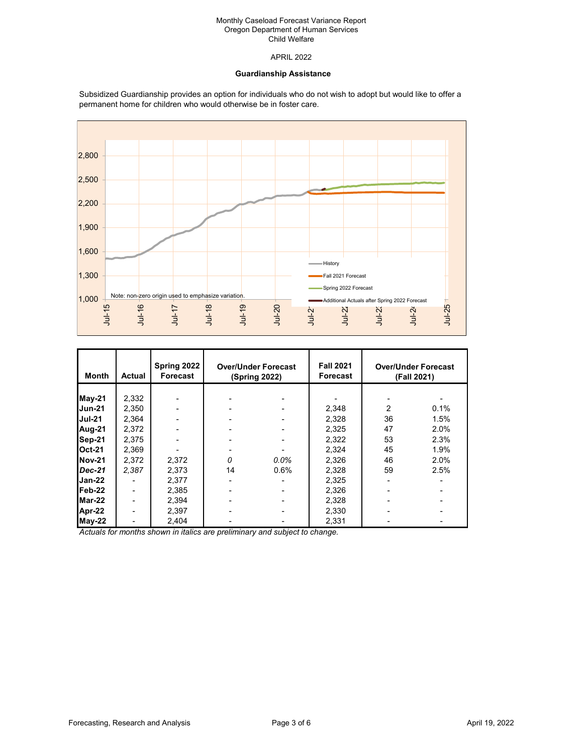APRIL 2022

## **Guardianship Assistance**

Subsidized Guardianship provides an option for individuals who do not wish to adopt but would like to offer a permanent home for children who would otherwise be in foster care.



| Month         | Actual | Spring 2022<br>Forecast | <b>Over/Under Forecast</b><br>(Spring 2022) |         | <b>Fall 2021</b><br><b>Forecast</b> |    | <b>Over/Under Forecast</b><br>(Fall 2021) |
|---------------|--------|-------------------------|---------------------------------------------|---------|-------------------------------------|----|-------------------------------------------|
|               |        |                         |                                             |         |                                     |    |                                           |
| May-21        | 2,332  |                         |                                             |         |                                     |    |                                           |
| IJun-21       | 2,350  |                         |                                             |         | 2,348                               | 2  | 0.1%                                      |
| <b>Jul-21</b> | 2.364  |                         |                                             |         | 2,328                               | 36 | 1.5%                                      |
| Aug-21        | 2,372  |                         |                                             |         | 2,325                               | 47 | 2.0%                                      |
| Sep-21        | 2,375  |                         |                                             |         | 2,322                               | 53 | 2.3%                                      |
| <b>Oct-21</b> | 2,369  |                         |                                             |         | 2,324                               | 45 | 1.9%                                      |
| Nov-21        | 2,372  | 2,372                   | $\Omega$                                    | $0.0\%$ | 2,326                               | 46 | 2.0%                                      |
| Dec-21        | 2,387  | 2,373                   | 14                                          | $0.6\%$ | 2,328                               | 59 | 2.5%                                      |
| Jan-22        |        | 2,377                   |                                             |         | 2,325                               |    |                                           |
| Feb-22        |        | 2,385                   |                                             |         | 2,326                               |    |                                           |
| Mar-22        |        | 2,394                   |                                             |         | 2,328                               |    |                                           |
| Apr-22        | ۰      | 2,397                   |                                             |         | 2,330                               |    |                                           |
| $May-22$      |        | 2,404                   |                                             |         | 2,331                               |    |                                           |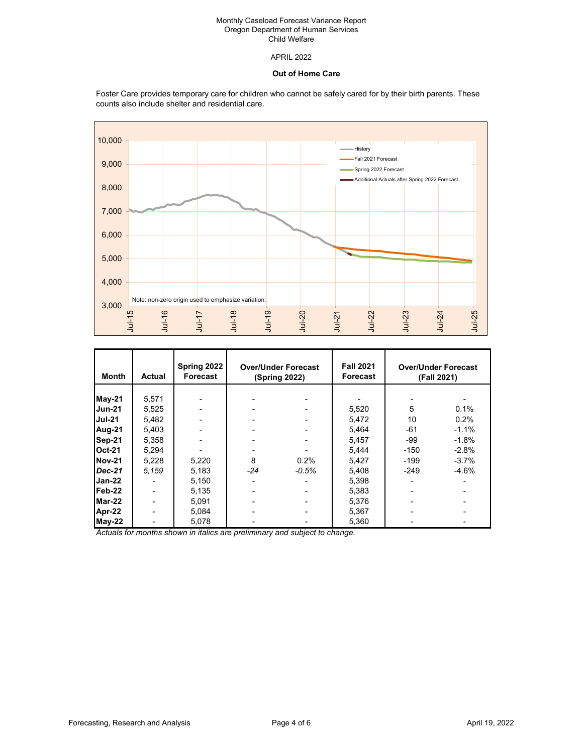# APRIL 2022

## **Out of Home Care**

Foster Care provides temporary care for children who cannot be safely cared for by their birth parents. These counts also include shelter and residential care.



| Month         | <b>Actual</b> | Spring 2022<br>Forecast | <b>Over/Under Forecast</b><br>(Spring 2022) |         | <b>Fall 2021</b><br><b>Forecast</b> |        | <b>Over/Under Forecast</b><br>(Fall 2021) |
|---------------|---------------|-------------------------|---------------------------------------------|---------|-------------------------------------|--------|-------------------------------------------|
|               |               |                         |                                             |         |                                     |        |                                           |
| <b>May-21</b> | 5,571         |                         |                                             |         |                                     |        |                                           |
| <b>Jun-21</b> | 5,525         |                         |                                             |         | 5,520                               | 5      | 0.1%                                      |
| <b>Jul-21</b> | 5,482         |                         |                                             |         | 5,472                               | 10     | 0.2%                                      |
| Aug-21        | 5,403         |                         |                                             |         | 5,464                               | $-61$  | $-1.1%$                                   |
| Sep-21        | 5,358         |                         |                                             |         | 5.457                               | -99    | $-1.8%$                                   |
| <b>Oct-21</b> | 5,294         |                         |                                             |         | 5.444                               | $-150$ | $-2.8%$                                   |
| <b>Nov-21</b> | 5,228         | 5,220                   | 8                                           | 0.2%    | 5,427                               | $-199$ | $-3.7%$                                   |
| <b>Dec-21</b> | 5.159         | 5,183                   | -24                                         | $-0.5%$ | 5,408                               | $-249$ | $-4.6%$                                   |
| Jan-22        |               | 5,150                   |                                             |         | 5,398                               |        |                                           |
| Feb-22        |               | 5,135                   |                                             |         | 5,383                               |        |                                           |
| Mar-22        |               | 5,091                   |                                             |         | 5,376                               |        |                                           |
| Apr-22        |               | 5,084                   |                                             |         | 5,367                               |        |                                           |
| $May-22$      |               | 5,078                   |                                             |         | 5,360                               |        |                                           |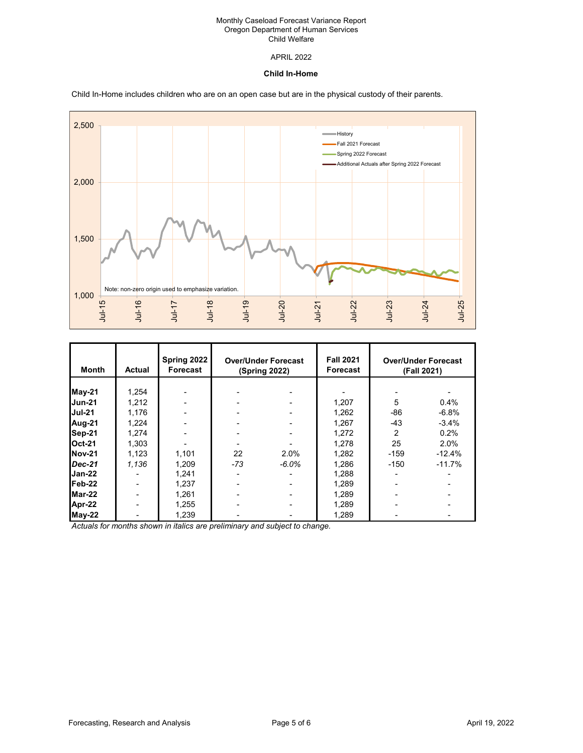# APRIL 2022

### **Child In-Home**

Child In-Home includes children who are on an open case but are in the physical custody of their parents.



| Month         | Actual                   | Spring 2022<br>Forecast | <b>Over/Under Forecast</b><br>(Spring 2022) |          | <b>Fall 2021</b><br>Forecast | <b>Over/Under Forecast</b><br>(Fall 2021) |          |
|---------------|--------------------------|-------------------------|---------------------------------------------|----------|------------------------------|-------------------------------------------|----------|
|               |                          |                         |                                             |          |                              |                                           |          |
| May-21        | 1,254                    |                         |                                             |          |                              |                                           |          |
| <b>Jun-21</b> | 1,212                    |                         |                                             |          | 1,207                        | 5                                         | 0.4%     |
| Uul-21        | 1,176                    |                         |                                             |          | 1,262                        | -86                                       | $-6.8%$  |
| Aug-21        | 1,224                    |                         |                                             |          | 1,267                        | $-43$                                     | $-3.4%$  |
| Sep-21        | 1,274                    |                         |                                             |          | 1,272                        | 2                                         | 0.2%     |
| <b>Oct-21</b> | 1,303                    |                         |                                             |          | 1.278                        | 25                                        | 2.0%     |
| Nov-21        | 1,123                    | 1,101                   | 22                                          | 2.0%     | 1,282                        | $-159$                                    | $-12.4%$ |
| $Dec-21$      | 1,136                    | 1,209                   | $-73$                                       | $-6.0\%$ | 1,286                        | $-150$                                    | $-11.7%$ |
| Jan-22        |                          | 1,241                   |                                             |          | 1,288                        |                                           |          |
| IFeb-22       |                          | 1,237                   |                                             |          | 1,289                        |                                           |          |
| Mar-22        |                          | 1,261                   |                                             |          | 1,289                        |                                           |          |
| Apr-22        |                          | 1,255                   |                                             |          | 1,289                        |                                           |          |
| <b>May-22</b> | $\overline{\phantom{a}}$ | 1,239                   |                                             |          | 1,289                        |                                           |          |